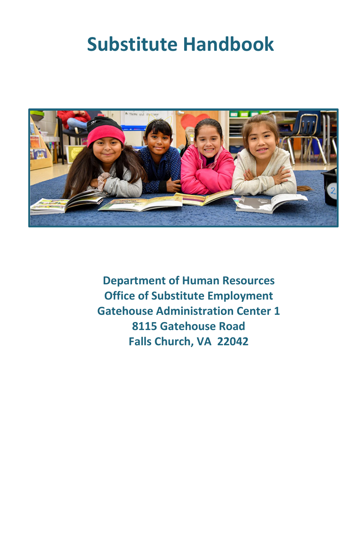# **Substitute Handbook**



**Department of Human Resources Office of Substitute Employment Gatehouse Administration Center 1 8115 Gatehouse Road Falls Church, VA 22042**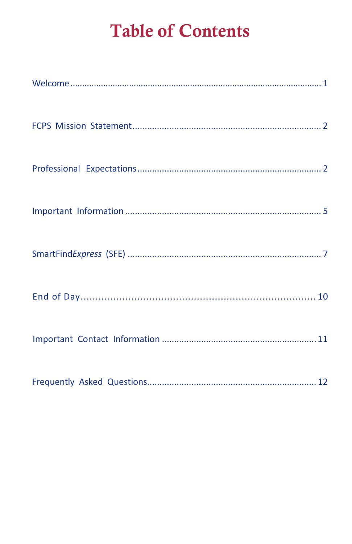## **Table of Contents**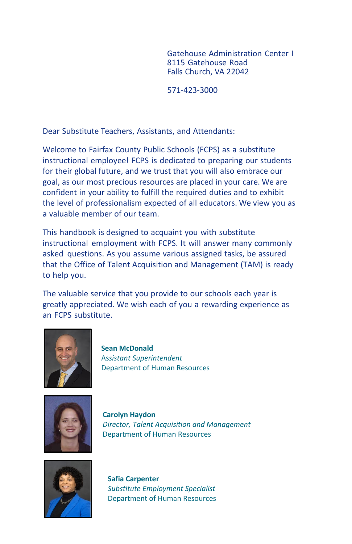Gatehouse Administration Center I 8115 Gatehouse Road Falls Church, VA 22042

571-423-3000

<span id="page-2-0"></span>Dear Substitute Teachers, Assistants, and Attendants:

Welcome to Fairfax County Public Schools (FCPS) as a substitute instructional employee! FCPS is dedicated to preparing our students for their global future, and we trust that you will also embrace our goal, as our most precious resources are placed in your care. We are confident in your ability to fulfill the required duties and to exhibit the level of professionalism expected of all educators. We view you as a valuable member of our team.

This handbook is designed to acquaint you with substitute instructional employment with FCPS. It will answer many commonly asked questions. As you assume various assigned tasks, be assured that the Office of Talent Acquisition and Management (TAM) is ready to help you.

The valuable service that you provide to our schools each year is greatly appreciated. We wish each of you a rewarding experience as an FCPS substitute.



**Sean McDonald** As*sistant Superintendent* Department of Human Resources



**Carolyn Haydon** *Director, Talent Acquisition and Management* Department of Human Resources



**Safia Carpenter** *Substitute Employment Specialist* Department of Human Resources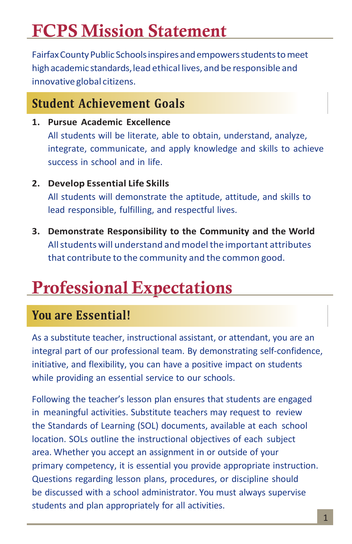## <span id="page-3-0"></span>FCPS Mission Statement

Fairfax County Public Schools inspires and empowers students to meet high academic standards, lead ethical lives, and be responsible and innovative global citizens.

### **Student Achievement Goals**

- **1. Pursue Academic Excellence** All students will be literate, able to obtain, understand, analyze, integrate, communicate, and apply knowledge and skills to achieve success in school and in life.
- **2. Develop Essential Life Skills** All students will demonstrate the aptitude, attitude, and skills to lead responsible, fulfilling, and respectful lives.
- <span id="page-3-1"></span>**3. Demonstrate Responsibility to the Community and the World** Allstudents will understand andmodelthe important attributes that contribute to the community and the common good.

## Professional Expectations

## **You are Essential!**

As a substitute teacher, instructional assistant, or attendant, you are an integral part of our professional team. By demonstrating self-confidence, initiative, and flexibility, you can have a positive impact on students while providing an essential service to our schools.

Following the teacher's lesson plan ensures that students are engaged in meaningful activities. Substitute teachers may request to review the Standards of Learning (SOL) documents, available at each school location. SOLs outline the instructional objectives of each subject area. Whether you accept an assignment in or outside of your primary competency, it is essential you provide appropriate instruction. Questions regarding lesson plans, procedures, or discipline should be discussed with a school administrator. You must always supervise students and plan appropriately for all activities.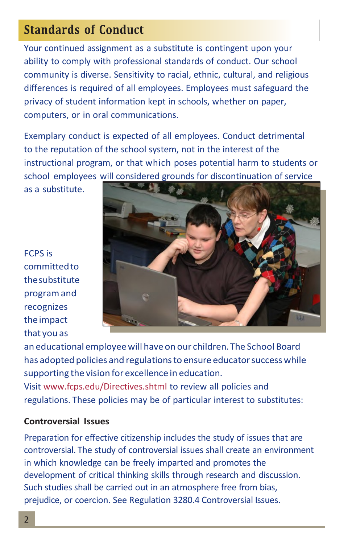### **Standards of Conduct**

Your continued assignment as a substitute is contingent upon your ability to comply with professional standards of conduct. Our school community is diverse. Sensitivity to racial, ethnic, cultural, and religious differences is required of all employees. Employees must safeguard the privacy of student information kept in schools, whether on paper, computers, or in oral communications.

Exemplary conduct is expected of all employees. Conduct detrimental to the reputation of the school system, not in the interest of the instructional program, or that which poses potential harm to students or school employees will considered grounds for discontinuation of service

as a substitute.

FCPS is committedto thesubstitute programand recognizes theimpact that you as



an educational employeewill have on our children.The School Board has adopted policies and regulations to ensure educator success while supporting the vision for excellence in education. Visit [www.fcps.edu/Directives.shtml](http://www.fcps.edu/Directives.shtml) to review all policies and regulations. These policies may be of particular interest to substitutes:

#### **Controversial Issues**

Preparation for effective citizenship includes the study of issues that are controversial. The study of controversial issues shall create an environment in which knowledge can be freely imparted and promotes the development of critical thinking skills through research and discussion. Such studies shall be carried out in an atmosphere free from bias, prejudice, or coercion. See Regulation 3280.4 Controversial Issues.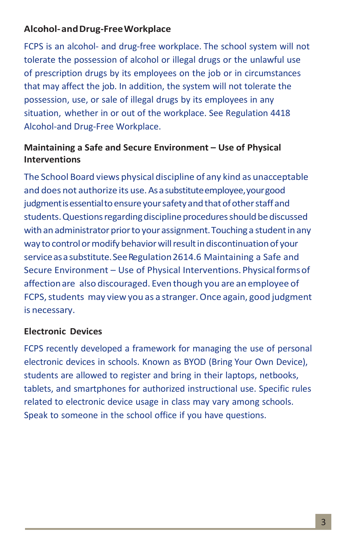### **Alcohol-andDrug-FreeWorkplace**

FCPS is an alcohol- and drug-free workplace. The school system will not tolerate the possession of alcohol or illegal drugs or the unlawful use of prescription drugs by its employees on the job or in circumstances that may affect the job. In addition, the system will not tolerate the possession, use, or sale of illegal drugs by its employees in any situation, whether in or out of the workplace. See Regulation 4418 Alcohol-and Drug-Free Workplace.

### **Maintaining a Safe and Secure Environment – Use of Physical Interventions**

The School Board views physical discipline of any kind as unacceptable and does not authorize its use. As a substitute employee, your good judgment is essential to ensure your safety and that of other staff and students. Questions regarding discipline procedures should be discussed with an administrator prior to your assignment. Touching a student in any way to control or modify behavior will result in discontinuation of your service as a substitute. See Regulation 2614.6 Maintaining a Safe and Secure Environment – Use of Physical Interventions.Physicalformsof affectionare also discouraged. Even though you are an employee of FCPS, students may view you as a stranger. Once again, good judgment is necessary.

### **Electronic Devices**

FCPS recently developed a framework for managing the use of personal electronic devices in schools. Known as BYOD (Bring Your Own Device), students are allowed to register and bring in their laptops, netbooks, tablets, and smartphones for authorized instructional use. Specific rules related to electronic device usage in class may vary among schools. Speak to someone in the school office if you have questions.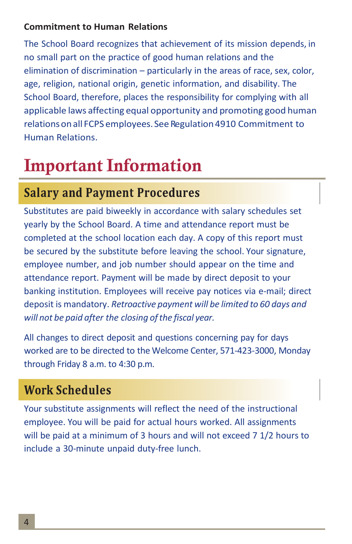#### **Commitment to Human Relations**

The School Board recognizes that achievement of its mission depends, in no small part on the practice of good human relations and the elimination of discrimination – particularly in the areas of race, sex, color, age, religion, national origin, genetic information, and disability. The School Board, therefore, places the responsibility for complying with all applicable laws affecting equal opportunity and promoting good human relations on all FCPS employees. See Regulation 4910 Commitment to Human Relations.

# <span id="page-6-0"></span>Important Information

## **Salary and Payment Procedures**

Substitutes are paid biweekly in accordance with salary schedules set yearly by the School Board. A time and attendance report must be completed at the school location each day. A copy of this report must be secured by the substitute before leaving the school. Your signature, employee number, and job number should appear on the time and attendance report. Payment will be made by direct deposit to your banking institution. Employees will receive pay notices via e-mail; direct deposit is mandatory. *Retroactive payment will be limited to 60 days and will not be paid after the closing ofthe fiscal year.*

All changes to direct deposit and questions concerning pay for days worked are to be directed to the Welcome Center, 571-423-3000, Monday through Friday 8 a.m. to 4:30 p.m.

## **Work Schedules**

Your substitute assignments will reflect the need of the instructional employee. You will be paid for actual hours worked. All assignments will be paid at a minimum of 3 hours and will not exceed 7 1/2 hours to include a 30-minute unpaid duty-free lunch.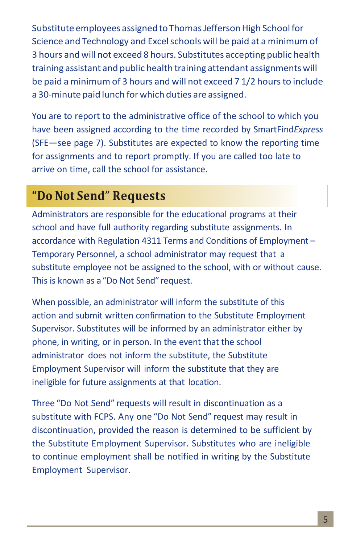Substitute employees assigned to Thomas Jefferson High School for Science and Technology and Excel schools will be paid at a minimum of 3 hours and will not exceed 8 hours. Substitutes accepting public health training assistant and public health training attendant assignmentswill be paid a minimum of 3 hours and will not exceed 7 1/2 hours to include a 30-minute paid lunch forwhich duties are assigned.

You are to report to the administrative office of the school to which you have been assigned according to the time recorded by SmartFind*Express* (SFE—see page 7). Substitutes are expected to know the reporting time for assignments and to report promptly. If you are called too late to arrive on time, call the school for assistance.

### "Do Not Send" Requests

Administrators are responsible for the educational programs at their school and have full authority regarding substitute assignments. In accordance with Regulation 4311 Terms and Conditions of Employment – Temporary Personnel, a school administrator may request that a substitute employee not be assigned to the school, with or without cause. This is known as a"Do Not Send" request.

When possible, an administrator will inform the substitute of this action and submit written confirmation to the Substitute Employment Supervisor. Substitutes will be informed by an administrator either by phone, in writing, or in person. In the event that the school administrator does not inform the substitute, the Substitute Employment Supervisor will inform the substitute that they are ineligible for future assignments at that location.

Three "Do Not Send" requests will result in discontinuation as a substitute with FCPS. Any one "Do Not Send" request may result in discontinuation, provided the reason is determined to be sufficient by the Substitute Employment Supervisor. Substitutes who are ineligible to continue employment shall be notified in writing by the Substitute Employment Supervisor.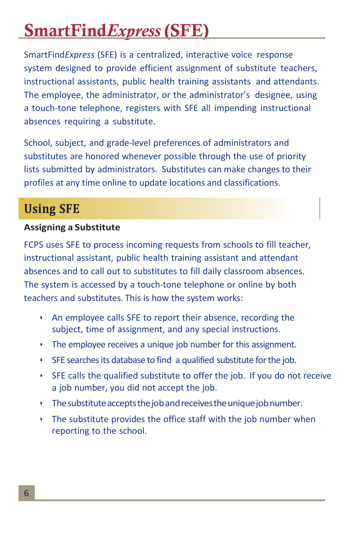## <span id="page-8-0"></span>SmartFind*Express* (SFE)

SmartFind*Express* (SFE) is a centralized, interactive voice response system designed to provide efficient assignment of substitute teachers, instructional assistants, public health training assistants and attendants. The employee, the administrator, or the administrator's designee, using a touch-tone telephone, registers with SFE all impending instructional absences requiring a substitute.

School, subject, and grade-level preferences of administrators and substitutes are honored whenever possible through the use of priority lists submitted by administrators. Substitutes can make changes to their profiles at any time online to update locations and classifications.

## **Using SFE**

### **Assigning a Substitute**

FCPS uses SFE to process incoming requests from schools to fill teacher, instructional assistant, public health training assistant and attendant absences and to call out to substitutes to fill daily classroom absences. The system is accessed by a touch-tone telephone or online by both teachers and substitutes. This is how the system works:

- An employee calls SFE to report their absence, recording the subject, time of assignment, and any special instructions.
- The employee receives a unique job number for this assignment.
- SFE searches its database to find a qualified substitute for the job.
- SFE calls the qualified substitute to offer the job. If you do not receive a job number, you did not accept the job.
- The substitute accepts the job and receives the unique job number.
- The substitute provides the office staff with the job number when reporting to the school.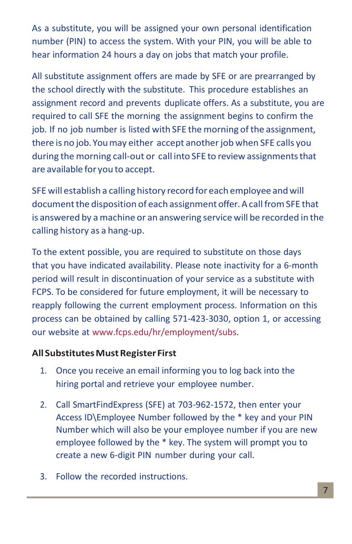As a substitute, you will be assigned your own personal identification number (PIN) to access the system. With your PIN, you will be able to hear information 24 hours a day on jobs that match your profile.

All substitute assignment offers are made by SFE or are prearranged by the school directly with the substitute. This procedure establishes an assignment record and prevents duplicate offers. As a substitute, you are required to call SFE the morning the assignment begins to confirm the job. If no job number is listed with SFE the morning of the assignment, there is no job. You may either accept another job when SFE calls you during the morning call-out or call into SFE to review assignments that are available for you to accept.

SFE will establish a calling history record for each employee andwill document the disposition of each assignment offer. A call from SFE that is answered by amachine or an answering service will be recorded in the calling history as a hang-up.

To the extent possible, you are required to substitute on those days that you have indicated availability. Please note inactivity for a 6-month period will result in discontinuation of your service as a substitute with FCPS. To be considered for future employment, it will be necessary to reapply following the current employment process. Information on this process can be obtained by calling 571-423-3030, option 1, or accessing our website at [www.fcps.edu/hr/employment/subs.](http://www.fcps.edu/hr/employment/subs)

### **AllSubstitutesMustRegister First**

- 1. Once you receive an email informing you to log back into the hiring portal and retrieve your employee number.
- 2. Call SmartFindExpress (SFE) at 703-962-1572, then enter your Access ID\Employee Number followed by the \* key and your PIN Number which will also be your employee number if you are new employee followed by the \* key. The system will prompt you to create a new 6-digit PIN number during your call.
- 3. Follow the recorded instructions.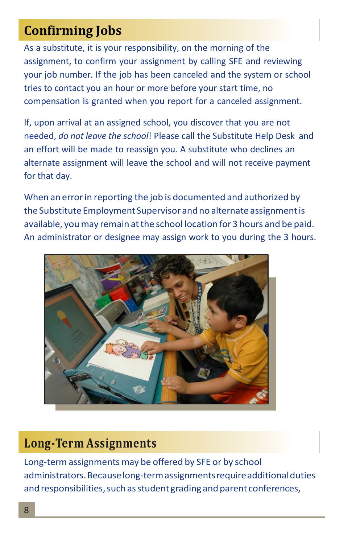## **Confirming Jobs**

As a substitute, it is your responsibility, on the morning of the assignment, to confirm your assignment by calling SFE and reviewing your job number. If the job has been canceled and the system or school tries to contact you an hour or more before your start time, no compensation is granted when you report for a canceled assignment.

If, upon arrival at an assigned school, you discover that you are not needed, *do not leave the school*! Please call the Substitute Help Desk and an effort will be made to reassign you. A substitute who declines an alternate assignment will leave the school and will not receive payment for that day.

When an error in reporting the job is documented and authorized by the Substitute Employment Supervisor and no alternate assignment is available, youmay remain atthe school location for 3 hours and be paid. An administrator or designee may assign work to you during the 3 hours.



### **Long-Term Assignments**

Long-term assignments may be offered by SFE or by school administrators.Becauselong-termassignmentsrequireadditionalduties and responsibilities, such as student grading and parent conferences,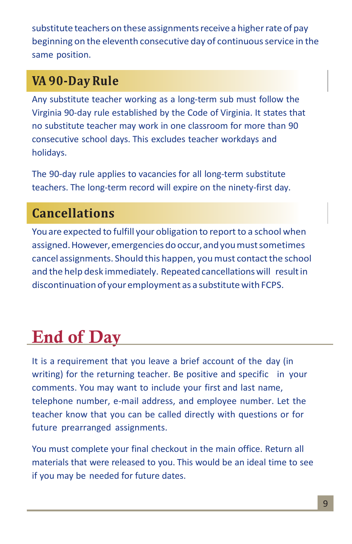substitute teachers on these assignments receive a higher rate of pay beginning on the eleventh consecutive day of continuous service in the same position.

## VA 90-Day Rule

Any substitute teacher working as a long-term sub must follow the Virginia 90-day rule established by the Code of Virginia. It states that no substitute teacher may work in one classroom for more than 90 consecutive school days. This excludes teacher workdays and holidays.

The 90-day rule applies to vacancies for all long-term substitute teachers. The long-term record will expire on the ninety-first day.

## **Cancellations**

You are expected to fulfill your obligation to report to a school when assigned. However, emergencies do occur, and you must sometimes cancel assignments. Should this happen, you must contact the school and the help desk immediately. Repeated cancellations will result in discontinuation of your employment as a substitute with FCPS.

# <span id="page-11-0"></span>End of Day

It is a requirement that you leave a brief account of the day (in writing) for the returning teacher. Be positive and specific in your comments. You may want to include your first and last name, telephone number, e-mail address, and employee number. Let the teacher know that you can be called directly with questions or for future prearranged assignments.

You must complete your final checkout in the main office. Return all materials that were released to you. This would be an ideal time to see if you may be needed for future dates.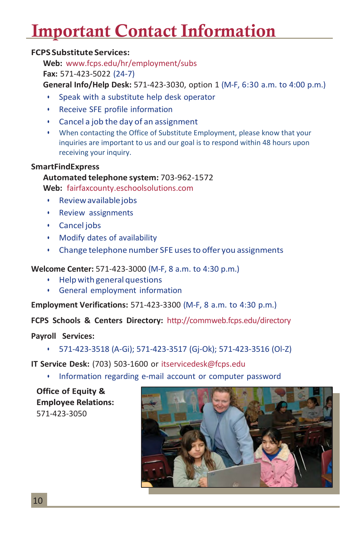## <span id="page-12-0"></span>Important Contact Information

#### **FCPS Substitute Services:**

**Web:** [www.fcps.edu/hr/employment/subs](http://www.fcps.edu/hr/employment/subs) **Fax:** 571-423-5022 (24-7)

**General Info/Help Desk:** 571-423-3030, option 1 (M-F, 6:30 a.m. to 4:00 p.m.)

- Speak with a substitute help desk operator
- Receive SFE profile information
- Cancel a job the day of an assignment
- When contacting the Office of Substitute Employment, please know that your inquiries are important to us and our goal is to respond within 48 hours upon receiving your inquiry.

#### **SmartFindExpress**

#### **Automated telephone system:** 703-962-1572

**Web:** fairfaxcounty.eschoolsolutions.com

- Reviewavailablejobs
- Review assignments
- Cancel jobs
- Modify dates of availability
- Change telephone number SFE usesto offer you assignments

**Welcome Center:** 571-423-3000 (M-F, 8 a.m. to 4:30 p.m.)

- Help with general questions
- General employment information

**Employment Verifications:** 571-423-3300 (M-F, 8 a.m. to 4:30 p.m.)

**FCPS Schools & Centers Directory:** <http://commweb.fcps.edu/directory>

**Payroll Services:**

• 571-423-3518 (A-Gi); 571-423-3517 (Gj-Ok); 571-423-3516 (Ol-Z)

**IT Service Desk:** (703) 503-1600 or [itservicedesk@fcps.edu](mailto:itservicedesk@fcps.edu)

• Information regarding e-mail account or computer password

<span id="page-12-1"></span>**Office of Equity & Employee Relations:** 571-423-3050

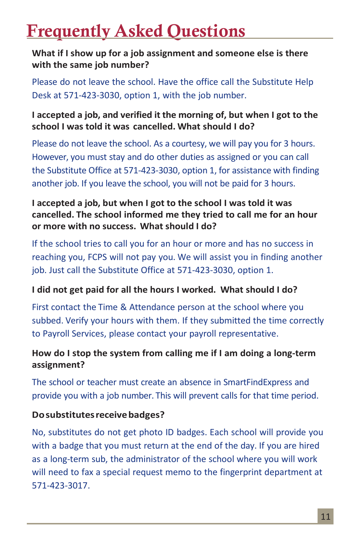## Frequently Asked Questions

**What if I show up for a job assignment and someone else is there with the same job number?**

Please do not leave the school. Have the office call the Substitute Help Desk at 571-423-3030, option 1, with the job number.

**I accepted a job, and verified it the morning of, but when I got to the school I was told it was cancelled. What should I do?**

Please do not leave the school. As a courtesy, we will pay you for 3 hours. However, you must stay and do other duties as assigned or you can call the Substitute Office at 571-423-3030, option 1, for assistance with finding another job. If you leave the school, you will not be paid for 3 hours.

### **I accepted a job, but when I got to the school I was told it was cancelled. The school informed me they tried to call me for an hour or more with no success. What should I do?**

If the school tries to call you for an hour or more and has no success in reaching you, FCPS will not pay you. We will assist you in finding another job. Just call the Substitute Office at 571-423-3030, option 1.

### **I did not get paid for all the hours I worked. What should I do?**

First contact the Time & Attendance person at the school where you subbed. Verify your hours with them. If they submitted the time correctly to Payroll Services, please contact your payroll representative.

### **How do I stop the system from calling me if I am doing a long-term assignment?**

The school or teacher must create an absence in SmartFindExpress and provide you with a job number. This will prevent calls for that time period.

### **Dosubstitutesreceivebadges?**

No, substitutes do not get photo ID badges. Each school will provide you with a badge that you must return at the end of the day. If you are hired as a long-term sub, the administrator of the school where you will work will need to fax a special request memo to the fingerprint department at 571-423-3017.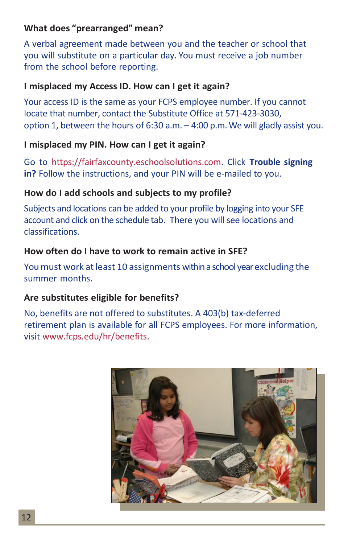### **What does "prearranged" mean?**

A verbal agreement made between you and the teacher or school that you will substitute on a particular day. You must receive a job number from the school before reporting.

### **I misplaced my Access ID. How can I get it again?**

Your access ID is the same as your FCPS employee number. If you cannot locate that number, contact the Substitute Office at 571-423-3030, option 1, between the hours of 6:30 a.m. – 4:00 p.m.We will gladly assist you.

### **I misplaced my PIN. How can I get it again?**

Go to https://fairfaxcounty.eschoolsolutions.com. Click **Trouble signing in?** Follow the instructions, and your PIN will be e-mailed to you.

### **How do I add schools and subjects to my profile?**

Subjects and locations can be added to your profile by logging into your SFE account and click on the schedule tab. There you will see locations and classifications.

### **How often do I have to work to remain active in SFE?**

Youmust work atleast 10 assignments within a school year excluding the summer months.

### **Are substitutes eligible for benefits?**

No, benefits are not offered to substitutes. A 403(b) tax-deferred retirement plan is available for all FCPS employees. For more information, visit [www.fcps.edu/hr/benefits.](http://www.fcps.edu/hr/benefits)